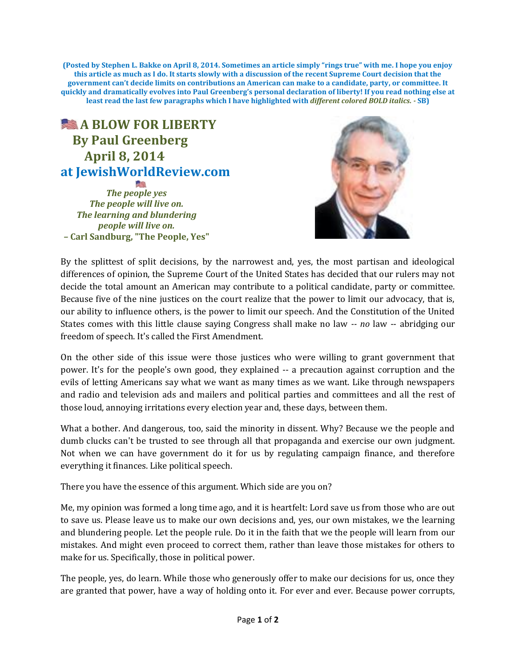**(Posted by Stephen L. Bakke on April 8, 2014. Sometimes an article simply "rings true" with me. I hope you enjoy this article as much as I do. It starts slowly with a discussion of the recent Supreme Court decision that the government can't decide limits on contributions an American can make to a candidate, party, or committee. It quickly and dramatically evolves into Paul Greenberg's personal declaration of liberty! If you read nothing else at least read the last few paragraphs which I have highlighted with** *different colored BOLD italics. -* **SB)**

## **A BLOW FOR LIBERTY By Paul Greenberg April 8, 2014 at JewishWorldReview.com**

*The people yes The people will live on. The learning and blundering people will live on. –* **Carl Sandburg, "The People, Yes"**



By the splittest of split decisions, by the narrowest and, yes, the most partisan and ideological differences of opinion, the Supreme Court of the United States has decided that our rulers may not decide the total amount an American may contribute to a political candidate, party or committee. Because five of the nine justices on the court realize that the power to limit our advocacy, that is, our ability to influence others, is the power to limit our speech. And the Constitution of the United States comes with this little clause saying Congress shall make no law *-- no* law -- abridging our freedom of speech. It's called the First Amendment.

On the other side of this issue were those justices who were willing to grant government that power. It's for the people's own good, they explained -- a precaution against corruption and the evils of letting Americans say what we want as many times as we want. Like through newspapers and radio and television ads and mailers and political parties and committees and all the rest of those loud, annoying irritations every election year and, these days, between them.

What a bother. And dangerous, too, said the minority in dissent. Why? Because we the people and dumb clucks can't be trusted to see through all that propaganda and exercise our own judgment. Not when we can have government do it for us by regulating campaign finance, and therefore everything it finances. Like political speech.

There you have the essence of this argument. Which side are you on?

Me, my opinion was formed a long time ago, and it is heartfelt: Lord save us from those who are out to save us. Please leave us to make our own decisions and, yes, our own mistakes, we the learning and blundering people. Let the people rule. Do it in the faith that we the people will learn from our mistakes. And might even proceed to correct them, rather than leave those mistakes for others to make for us. Specifically, those in political power.

The people, yes, do learn. While those who generously offer to make our decisions for us, once they are granted that power, have a way of holding onto it. For ever and ever. Because power corrupts,